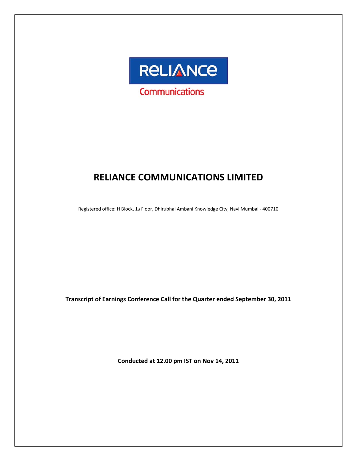

# **RELIANCE COMMUNICATIONS LIMITED**

Registered office: H Block, 1st Floor, Dhirubhai Ambani Knowledge City, Navi Mumbai - 400710

**Transcript of Earnings Conference Call for the Quarter ended September 30, 2011**

**Conducted at 12.00 pm IST on Nov 14, 2011**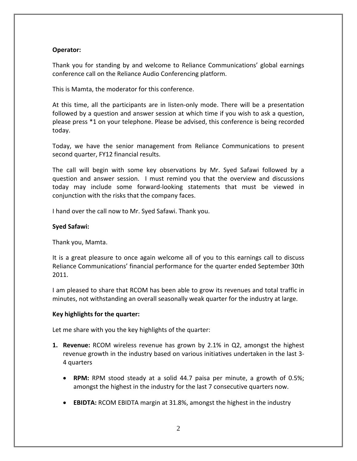## **Operator:**

Thank you for standing by and welcome to Reliance Communications' global earnings conference call on the Reliance Audio Conferencing platform.

This is Mamta, the moderator for this conference.

At this time, all the participants are in listen-only mode. There will be a presentation followed by a question and answer session at which time if you wish to ask a question, please press \*1 on your telephone. Please be advised, this conference is being recorded today.

Today, we have the senior management from Reliance Communications to present second quarter, FY12 financial results.

The call will begin with some key observations by Mr. Syed Safawi followed by a question and answer session. I must remind you that the overview and discussions today may include some forward‐looking statements that must be viewed in conjunction with the risks that the company faces.

I hand over the call now to Mr. Syed Safawi. Thank you.

## **Syed Safawi:**

Thank you, Mamta.

It is a great pleasure to once again welcome all of you to this earnings call to discuss Reliance Communications' financial performance for the quarter ended September 30th 2011.

I am pleased to share that RCOM has been able to grow its revenues and total traffic in minutes, not withstanding an overall seasonally weak quarter for the industry at large.

## **Key highlights for the quarter:**

Let me share with you the key highlights of the quarter:

- **1. Revenue:** RCOM wireless revenue has grown by 2.1% in Q2, amongst the highest revenue growth in the industry based on various initiatives undertaken in the last 3‐ 4 quarters
	- **RPM:** RPM stood steady at a solid 44.7 paisa per minute, a growth of 0.5%; amongst the highest in the industry for the last 7 consecutive quarters now.
	- **EBIDTA:** RCOM EBIDTA margin at 31.8%, amongst the highest in the industry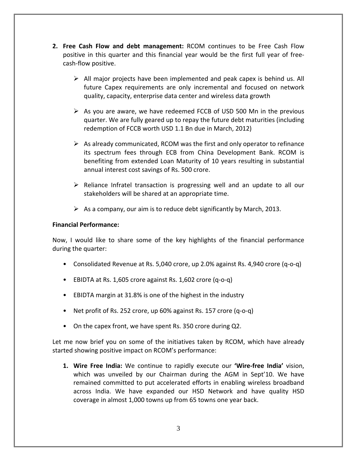- **2. Free Cash Flow and debt management:** RCOM continues to be Free Cash Flow positive in this quarter and this financial year would be the first full year of free‐ cash‐flow positive.
	- $\triangleright$  All major projects have been implemented and peak capex is behind us. All future Capex requirements are only incremental and focused on network quality, capacity, enterprise data center and wireless data growth
	- $\triangleright$  As you are aware, we have redeemed FCCB of USD 500 Mn in the previous quarter. We are fully geared up to repay the future debt maturities (including redemption of FCCB worth USD 1.1 Bn due in March, 2012)
	- $\triangleright$  As already communicated, RCOM was the first and only operator to refinance its spectrum fees through ECB from China Development Bank. RCOM is benefiting from extended Loan Maturity of 10 years resulting in substantial annual interest cost savings of Rs. 500 crore.
	- $\triangleright$  Reliance Infratel transaction is progressing well and an update to all our stakeholders will be shared at an appropriate time.
	- $\triangleright$  As a company, our aim is to reduce debt significantly by March, 2013.

# **Financial Performance:**

Now, I would like to share some of the key highlights of the financial performance during the quarter:

- Consolidated Revenue at Rs. 5,040 crore, up 2.0% against Rs. 4,940 crore (q‐o‐q)
- EBIDTA at Rs. 1,605 crore against Rs. 1,602 crore (q‐o‐q)
- EBIDTA margin at 31.8% is one of the highest in the industry
- Net profit of Rs. 252 crore, up 60% against Rs. 157 crore (q-o-q)
- On the capex front, we have spent Rs. 350 crore during Q2.

Let me now brief you on some of the initiatives taken by RCOM, which have already started showing positive impact on RCOM's performance:

**1. Wire Free India:** We continue to rapidly execute our **'Wire‐free India'** vision, which was unveiled by our Chairman during the AGM in Sept'10. We have remained committed to put accelerated efforts in enabling wireless broadband across India. We have expanded our HSD Network and have quality HSD coverage in almost 1,000 towns up from 65 towns one year back.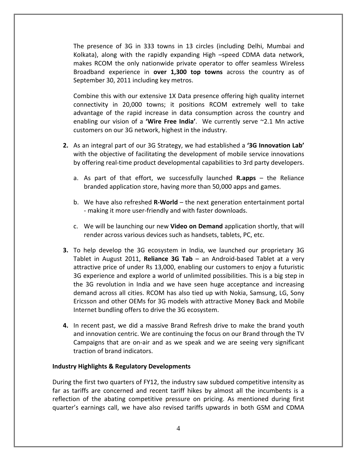The presence of 3G in 333 towns in 13 circles (including Delhi, Mumbai and Kolkata), along with the rapidly expanding High –speed CDMA data network, makes RCOM the only nationwide private operator to offer seamless Wireless Broadband experience in **over 1,300 top towns** across the country as of September 30, 2011 including key metros.

Combine this with our extensive 1X Data presence offering high quality internet connectivity in 20,000 towns; it positions RCOM extremely well to take advantage of the rapid increase in data consumption across the country and enabling our vision of a **'Wire Free India'**. We currently serve ~2.1 Mn active customers on our 3G network, highest in the industry.

- **2.** As an integral part of our 3G Strategy, we had established a **'3G Innovation Lab'** with the objective of facilitating the development of mobile service innovations by offering real‐time product developmental capabilities to 3rd party developers.
	- a. As part of that effort, we successfully launched **R.apps** the Reliance branded application store, having more than 50,000 apps and games.
	- b. We have also refreshed **R‐World** the next generation entertainment portal ‐ making it more user‐friendly and with faster downloads.
	- c. We will be launching our new **Video on Demand** application shortly, that will render across various devices such as handsets, tablets, PC, etc.
- **3.** To help develop the 3G ecosystem in India, we launched our proprietary 3G Tablet in August 2011, **Reliance 3G Tab** – an Android‐based Tablet at a very attractive price of under Rs 13,000, enabling our customers to enjoy a futuristic 3G experience and explore a world of unlimited possibilities. This is a big step in the 3G revolution in India and we have seen huge acceptance and increasing demand across all cities. RCOM has also tied up with Nokia, Samsung, LG, Sony Ericsson and other OEMs for 3G models with attractive Money Back and Mobile Internet bundling offers to drive the 3G ecosystem.
- **4.** In recent past, we did a massive Brand Refresh drive to make the brand youth and innovation centric. We are continuing the focus on our Brand through the TV Campaigns that are on‐air and as we speak and we are seeing very significant traction of brand indicators.

## **Industry Highlights & Regulatory Developments**

During the first two quarters of FY12, the industry saw subdued competitive intensity as far as tariffs are concerned and recent tariff hikes by almost all the incumbents is a reflection of the abating competitive pressure on pricing. As mentioned during first quarter's earnings call, we have also revised tariffs upwards in both GSM and CDMA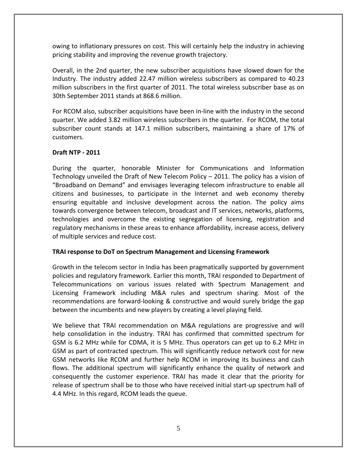owing to inflationary pressures on cost. This will certainly help the industry in achieving pricing stability and improving the revenue growth trajectory.

Overall, in the 2nd quarter, the new subscriber acquisitions have slowed down for the Industry. The industry added 22.47 million wireless subscribers as compared to 40.23 million subscribers in the first quarter of 2011. The total wireless subscriber base as on 30th September 2011 stands at 868.6 million.

For RCOM also, subscriber acquisitions have been in‐line with the industry in the second quarter. We added 3.82 million wireless subscribers in the quarter. For RCOM, the total subscriber count stands at 147.1 million subscribers, maintaining a share of 17% of customers.

# **Draft NTP ‐ 2011**

During the quarter, honorable Minister for Communications and Information Technology unveiled the Draft of New Telecom Policy – 2011. The policy has a vision of "Broadband on Demand" and envisages leveraging telecom infrastructure to enable all citizens and businesses, to participate in the Internet and web economy thereby ensuring equitable and inclusive development across the nation. The policy aims towards convergence between telecom, broadcast and IT services, networks, platforms, technologies and overcome the existing segregation of licensing, registration and regulatory mechanisms in these areas to enhance affordability, increase access, delivery of multiple services and reduce cost.

# **TRAI response to DoT on Spectrum Management and Licensing Framework**

Growth in the telecom sector in India has been pragmatically supported by government policies and regulatory framework. Earlier this month, TRAI responded to Department of Telecommunications on various issues related with Spectrum Management and Licensing Framework including M&A rules and spectrum sharing. Most of the recommendations are forward‐looking & constructive and would surely bridge the gap between the incumbents and new players by creating a level playing field.

We believe that TRAI recommendation on M&A regulations are progressive and will help consolidation in the industry. TRAI has confirmed that committed spectrum for GSM is 6.2 MHz while for CDMA, it is 5 MHz. Thus operators can get up to 6.2 MHz in GSM as part of contracted spectrum. This will significantly reduce network cost for new GSM networks like RCOM and further help RCOM in improving its business and cash flows. The additional spectrum will significantly enhance the quality of network and consequently the customer experience. TRAI has made it clear that the priority for release of spectrum shall be to those who have received initial start‐up spectrum hall of 4.4 MHz. In this regard, RCOM leads the queue.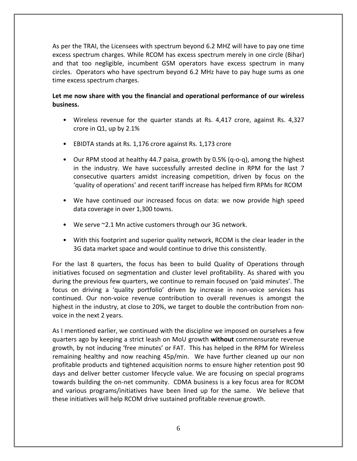As per the TRAI, the Licensees with spectrum beyond 6.2 MHZ will have to pay one time excess spectrum charges. While RCOM has excess spectrum merely in one circle (Bihar) and that too negligible, incumbent GSM operators have excess spectrum in many circles. Operators who have spectrum beyond 6.2 MHz have to pay huge sums as one time excess spectrum charges.

# **Let me now share with you the financial and operational performance of our wireless business.**

- Wireless revenue for the quarter stands at Rs. 4,417 crore, against Rs. 4,327 crore in Q1, up by 2.1%
- EBIDTA stands at Rs. 1,176 crore against Rs. 1,173 crore
- Our RPM stood at healthy 44.7 paisa, growth by 0.5% (q-o-q), among the highest in the industry. We have successfully arrested decline in RPM for the last 7 consecutive quarters amidst increasing competition, driven by focus on the 'quality of operations' and recent tariff increase has helped firm RPMs for RCOM
- We have continued our increased focus on data: we now provide high speed data coverage in over 1,300 towns.
- We serve ~2.1 Mn active customers through our 3G network.
- With this footprint and superior quality network, RCOM is the clear leader in the 3G data market space and would continue to drive this consistently.

For the last 8 quarters, the focus has been to build Quality of Operations through initiatives focused on segmentation and cluster level profitability. As shared with you during the previous few quarters, we continue to remain focused on 'paid minutes'. The focus on driving a 'quality portfolio' driven by increase in non‐voice services has continued. Our non‐voice revenue contribution to overall revenues is amongst the highest in the industry, at close to 20%, we target to double the contribution from non‐ voice in the next 2 years.

As I mentioned earlier, we continued with the discipline we imposed on ourselves a few quarters ago by keeping a strict leash on MoU growth **without** commensurate revenue growth, by not inducing 'free minutes' or FAT. This has helped in the RPM for Wireless remaining healthy and now reaching 45p/min. We have further cleaned up our non profitable products and tightened acquisition norms to ensure higher retention post 90 days and deliver better customer lifecycle value. We are focusing on special programs towards building the on‐net community. CDMA business is a key focus area for RCOM and various programs/initiatives have been lined up for the same. We believe that these initiatives will help RCOM drive sustained profitable revenue growth.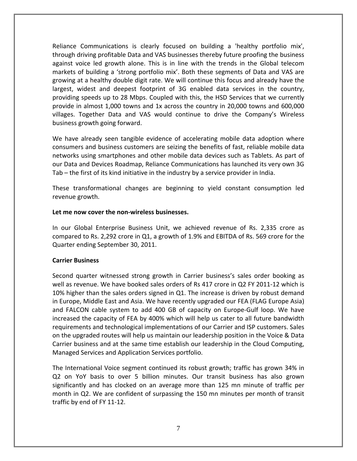Reliance Communications is clearly focused on building a 'healthy portfolio mix', through driving profitable Data and VAS businesses thereby future proofing the business against voice led growth alone. This is in line with the trends in the Global telecom markets of building a 'strong portfolio mix'. Both these segments of Data and VAS are growing at a healthy double digit rate. We will continue this focus and already have the largest, widest and deepest footprint of 3G enabled data services in the country, providing speeds up to 28 Mbps. Coupled with this, the HSD Services that we currently provide in almost 1,000 towns and 1x across the country in 20,000 towns and 600,000 villages. Together Data and VAS would continue to drive the Company's Wireless business growth going forward.

We have already seen tangible evidence of accelerating mobile data adoption where consumers and business customers are seizing the benefits of fast, reliable mobile data networks using smartphones and other mobile data devices such as Tablets. As part of our Data and Devices Roadmap, Reliance Communications has launched its very own 3G Tab – the first of its kind initiative in the industry by a service provider in India.

These transformational changes are beginning to yield constant consumption led revenue growth.

## **Let me now cover the non‐wireless businesses.**

In our Global Enterprise Business Unit, we achieved revenue of Rs. 2,335 crore as compared to Rs. 2,292 crore in Q1, a growth of 1.9% and EBITDA of Rs. 569 crore for the Quarter ending September 30, 2011.

## **Carrier Business**

Second quarter witnessed strong growth in Carrier business's sales order booking as well as revenue. We have booked sales orders of Rs 417 crore in Q2 FY 2011-12 which is 10% higher than the sales orders signed in Q1. The increase is driven by robust demand in Europe, Middle East and Asia. We have recently upgraded our FEA (FLAG Europe Asia) and FALCON cable system to add 400 GB of capacity on Europe‐Gulf loop. We have increased the capacity of FEA by 400% which will help us cater to all future bandwidth requirements and technological implementations of our Carrier and ISP customers. Sales on the upgraded routes will help us maintain our leadership position in the Voice & Data Carrier business and at the same time establish our leadership in the Cloud Computing, Managed Services and Application Services portfolio.

The International Voice segment continued its robust growth; traffic has grown 34% in Q2 on YoY basis to over 5 billion minutes. Our transit business has also grown significantly and has clocked on an average more than 125 mn minute of traffic per month in Q2. We are confident of surpassing the 150 mn minutes per month of transit traffic by end of FY 11‐12.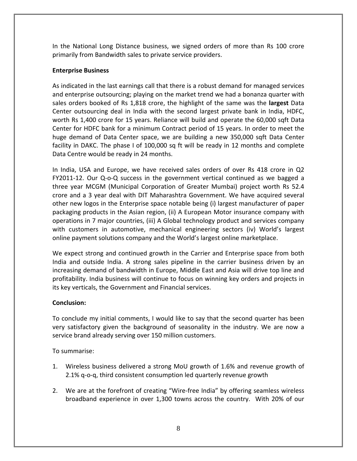In the National Long Distance business, we signed orders of more than Rs 100 crore primarily from Bandwidth sales to private service providers.

# **Enterprise Business**

As indicated in the last earnings call that there is a robust demand for managed services and enterprise outsourcing; playing on the market trend we had a bonanza quarter with sales orders booked of Rs 1,818 crore, the highlight of the same was the **largest** Data Center outsourcing deal in India with the second largest private bank in India, HDFC, worth Rs 1,400 crore for 15 years. Reliance will build and operate the 60,000 sqft Data Center for HDFC bank for a minimum Contract period of 15 years. In order to meet the huge demand of Data Center space, we are building a new 350,000 sqft Data Center facility in DAKC. The phase I of 100,000 sq ft will be ready in 12 months and complete Data Centre would be ready in 24 months.

In India, USA and Europe, we have received sales orders of over Rs 418 crore in Q2 FY2011‐12. Our Q‐o‐Q success in the government vertical continued as we bagged a three year MCGM (Municipal Corporation of Greater Mumbai) project worth Rs 52.4 crore and a 3 year deal with DIT Maharashtra Government. We have acquired several other new logos in the Enterprise space notable being (i) largest manufacturer of paper packaging products in the Asian region, (ii) A European Motor insurance company with operations in 7 major countries, (iii) A Global technology product and services company with customers in automotive, mechanical engineering sectors (iv) World's largest online payment solutions company and the World's largest online marketplace.

We expect strong and continued growth in the Carrier and Enterprise space from both India and outside India. A strong sales pipeline in the carrier business driven by an increasing demand of bandwidth in Europe, Middle East and Asia will drive top line and profitability. India business will continue to focus on winning key orders and projects in its key verticals, the Government and Financial services.

# **Conclusion:**

To conclude my initial comments, I would like to say that the second quarter has been very satisfactory given the background of seasonality in the industry. We are now a service brand already serving over 150 million customers.

To summarise:

- 1. Wireless business delivered a strong MoU growth of 1.6% and revenue growth of 2.1% q‐o‐q, third consistent consumption led quarterly revenue growth
- 2. We are at the forefront of creating "Wire-free India" by offering seamless wireless broadband experience in over 1,300 towns across the country. With 20% of our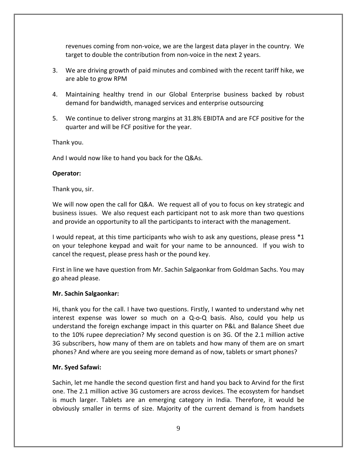revenues coming from non‐voice, we are the largest data player in the country. We target to double the contribution from non‐voice in the next 2 years.

- 3. We are driving growth of paid minutes and combined with the recent tariff hike, we are able to grow RPM
- 4. Maintaining healthy trend in our Global Enterprise business backed by robust demand for bandwidth, managed services and enterprise outsourcing
- 5. We continue to deliver strong margins at 31.8% EBIDTA and are FCF positive for the quarter and will be FCF positive for the year.

Thank you.

And I would now like to hand you back for the Q&As.

## **Operator:**

Thank you, sir.

We will now open the call for Q&A. We request all of you to focus on key strategic and business issues. We also request each participant not to ask more than two questions and provide an opportunity to all the participants to interact with the management.

I would repeat, at this time participants who wish to ask any questions, please press \*1 on your telephone keypad and wait for your name to be announced. If you wish to cancel the request, please press hash or the pound key.

First in line we have question from Mr. Sachin Salgaonkar from Goldman Sachs. You may go ahead please.

## **Mr. Sachin Salgaonkar:**

Hi, thank you for the call. I have two questions. Firstly, I wanted to understand why net interest expense was lower so much on a Q‐o‐Q basis. Also, could you help us understand the foreign exchange impact in this quarter on P&L and Balance Sheet due to the 10% rupee depreciation? My second question is on 3G. Of the 2.1 million active 3G subscribers, how many of them are on tablets and how many of them are on smart phones? And where are you seeing more demand as of now, tablets or smart phones?

# **Mr. Syed Safawi:**

Sachin, let me handle the second question first and hand you back to Arvind for the first one. The 2.1 million active 3G customers are across devices. The ecosystem for handset is much larger. Tablets are an emerging category in India. Therefore, it would be obviously smaller in terms of size. Majority of the current demand is from handsets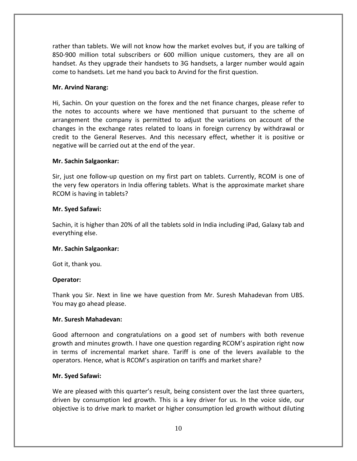rather than tablets. We will not know how the market evolves but, if you are talking of 850‐900 million total subscribers or 600 million unique customers, they are all on handset. As they upgrade their handsets to 3G handsets, a larger number would again come to handsets. Let me hand you back to Arvind for the first question.

## **Mr. Arvind Narang:**

Hi, Sachin. On your question on the forex and the net finance charges, please refer to the notes to accounts where we have mentioned that pursuant to the scheme of arrangement the company is permitted to adjust the variations on account of the changes in the exchange rates related to loans in foreign currency by withdrawal or credit to the General Reserves. And this necessary effect, whether it is positive or negative will be carried out at the end of the year.

## **Mr. Sachin Salgaonkar:**

Sir, just one follow-up question on my first part on tablets. Currently, RCOM is one of the very few operators in India offering tablets. What is the approximate market share RCOM is having in tablets?

## **Mr. Syed Safawi:**

Sachin, it is higher than 20% of all the tablets sold in India including iPad, Galaxy tab and everything else.

## **Mr. Sachin Salgaonkar:**

Got it, thank you.

# **Operator:**

Thank you Sir. Next in line we have question from Mr. Suresh Mahadevan from UBS. You may go ahead please.

## **Mr. Suresh Mahadevan:**

Good afternoon and congratulations on a good set of numbers with both revenue growth and minutes growth. I have one question regarding RCOM's aspiration right now in terms of incremental market share. Tariff is one of the levers available to the operators. Hence, what is RCOM's aspiration on tariffs and market share?

## **Mr. Syed Safawi:**

We are pleased with this quarter's result, being consistent over the last three quarters, driven by consumption led growth. This is a key driver for us. In the voice side, our objective is to drive mark to market or higher consumption led growth without diluting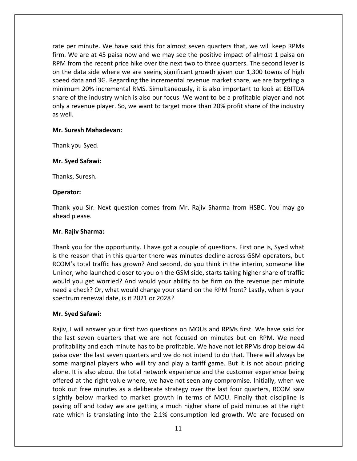rate per minute. We have said this for almost seven quarters that, we will keep RPMs firm. We are at 45 paisa now and we may see the positive impact of almost 1 paisa on RPM from the recent price hike over the next two to three quarters. The second lever is on the data side where we are seeing significant growth given our 1,300 towns of high speed data and 3G. Regarding the incremental revenue market share, we are targeting a minimum 20% incremental RMS. Simultaneously, it is also important to look at EBITDA share of the industry which is also our focus. We want to be a profitable player and not only a revenue player. So, we want to target more than 20% profit share of the industry as well.

## **Mr. Suresh Mahadevan:**

Thank you Syed.

#### **Mr. Syed Safawi:**

Thanks, Suresh.

#### **Operator:**

Thank you Sir. Next question comes from Mr. Rajiv Sharma from HSBC. You may go ahead please.

#### **Mr. Rajiv Sharma:**

Thank you for the opportunity. I have got a couple of questions. First one is, Syed what is the reason that in this quarter there was minutes decline across GSM operators, but RCOM's total traffic has grown? And second, do you think in the interim, someone like Uninor, who launched closer to you on the GSM side, starts taking higher share of traffic would you get worried? And would your ability to be firm on the revenue per minute need a check? Or, what would change your stand on the RPM front? Lastly, when is your spectrum renewal date, is it 2021 or 2028?

## **Mr. Syed Safawi:**

Rajiv, I will answer your first two questions on MOUs and RPMs first. We have said for the last seven quarters that we are not focused on minutes but on RPM. We need profitability and each minute has to be profitable. We have not let RPMs drop below 44 paisa over the last seven quarters and we do not intend to do that. There will always be some marginal players who will try and play a tariff game. But it is not about pricing alone. It is also about the total network experience and the customer experience being offered at the right value where, we have not seen any compromise. Initially, when we took out free minutes as a deliberate strategy over the last four quarters, RCOM saw slightly below marked to market growth in terms of MOU. Finally that discipline is paying off and today we are getting a much higher share of paid minutes at the right rate which is translating into the 2.1% consumption led growth. We are focused on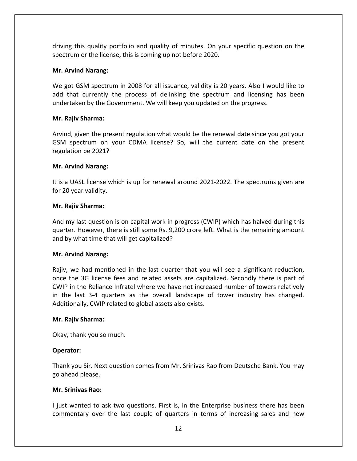driving this quality portfolio and quality of minutes. On your specific question on the spectrum or the license, this is coming up not before 2020.

## **Mr. Arvind Narang:**

We got GSM spectrum in 2008 for all issuance, validity is 20 years. Also I would like to add that currently the process of delinking the spectrum and licensing has been undertaken by the Government. We will keep you updated on the progress.

## **Mr. Rajiv Sharma:**

Arvind, given the present regulation what would be the renewal date since you got your GSM spectrum on your CDMA license? So, will the current date on the present regulation be 2021?

## **Mr. Arvind Narang:**

It is a UASL license which is up for renewal around 2021‐2022. The spectrums given are for 20 year validity.

## **Mr. Rajiv Sharma:**

And my last question is on capital work in progress (CWIP) which has halved during this quarter. However, there is still some Rs. 9,200 crore left. What is the remaining amount and by what time that will get capitalized?

## **Mr. Arvind Narang:**

Rajiv, we had mentioned in the last quarter that you will see a significant reduction, once the 3G license fees and related assets are capitalized. Secondly there is part of CWIP in the Reliance Infratel where we have not increased number of towers relatively in the last 3‐4 quarters as the overall landscape of tower industry has changed. Additionally, CWIP related to global assets also exists.

## **Mr. Rajiv Sharma:**

Okay, thank you so much.

# **Operator:**

Thank you Sir. Next question comes from Mr. Srinivas Rao from Deutsche Bank. You may go ahead please.

## **Mr. Srinivas Rao:**

I just wanted to ask two questions. First is, in the Enterprise business there has been commentary over the last couple of quarters in terms of increasing sales and new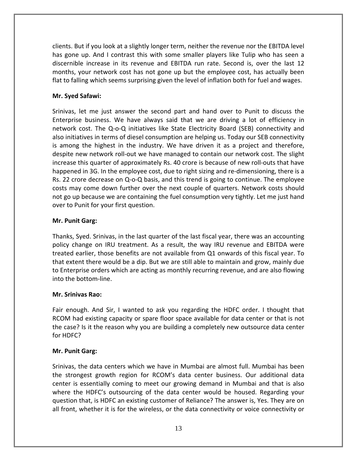clients. But if you look at a slightly longer term, neither the revenue nor the EBITDA level has gone up. And I contrast this with some smaller players like Tulip who has seen a discernible increase in its revenue and EBITDA run rate. Second is, over the last 12 months, your network cost has not gone up but the employee cost, has actually been flat to falling which seems surprising given the level of inflation both for fuel and wages.

# **Mr. Syed Safawi:**

Srinivas, let me just answer the second part and hand over to Punit to discuss the Enterprise business. We have always said that we are driving a lot of efficiency in network cost. The Q-o-Q initiatives like State Electricity Board (SEB) connectivity and also initiatives in terms of diesel consumption are helping us. Today our SEB connectivity is among the highest in the industry. We have driven it as a project and therefore, despite new network roll‐out we have managed to contain our network cost. The slight increase this quarter of approximately Rs. 40 crore is because of new roll‐outs that have happened in 3G. In the employee cost, due to right sizing and re-dimensioning, there is a Rs. 22 crore decrease on Q‐o‐Q basis, and this trend is going to continue. The employee costs may come down further over the next couple of quarters. Network costs should not go up because we are containing the fuel consumption very tightly. Let me just hand over to Punit for your first question.

# **Mr. Punit Garg:**

Thanks, Syed. Srinivas, in the last quarter of the last fiscal year, there was an accounting policy change on IRU treatment. As a result, the way IRU revenue and EBITDA were treated earlier, those benefits are not available from Q1 onwards of this fiscal year. To that extent there would be a dip. But we are still able to maintain and grow, mainly due to Enterprise orders which are acting as monthly recurring revenue, and are also flowing into the bottom‐line.

# **Mr. Srinivas Rao:**

Fair enough. And Sir, I wanted to ask you regarding the HDFC order. I thought that RCOM had existing capacity or spare floor space available for data center or that is not the case? Is it the reason why you are building a completely new outsource data center for HDFC?

# **Mr. Punit Garg:**

Srinivas, the data centers which we have in Mumbai are almost full. Mumbai has been the strongest growth region for RCOM's data center business. Our additional data center is essentially coming to meet our growing demand in Mumbai and that is also where the HDFC's outsourcing of the data center would be housed. Regarding your question that, is HDFC an existing customer of Reliance? The answer is, Yes. They are on all front, whether it is for the wireless, or the data connectivity or voice connectivity or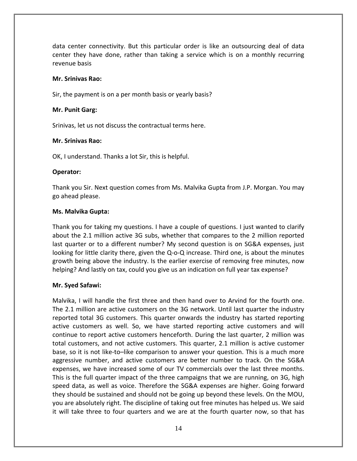data center connectivity. But this particular order is like an outsourcing deal of data center they have done, rather than taking a service which is on a monthly recurring revenue basis

## **Mr. Srinivas Rao:**

Sir, the payment is on a per month basis or yearly basis?

#### **Mr. Punit Garg:**

Srinivas, let us not discuss the contractual terms here.

#### **Mr. Srinivas Rao:**

OK, I understand. Thanks a lot Sir, this is helpful.

#### **Operator:**

Thank you Sir. Next question comes from Ms. Malvika Gupta from J.P. Morgan. You may go ahead please.

#### **Ms. Malvika Gupta:**

Thank you for taking my questions. I have a couple of questions. I just wanted to clarify about the 2.1 million active 3G subs, whether that compares to the 2 million reported last quarter or to a different number? My second question is on SG&A expenses, just looking for little clarity there, given the Q‐o‐Q increase. Third one, is about the minutes growth being above the industry. Is the earlier exercise of removing free minutes, now helping? And lastly on tax, could you give us an indication on full year tax expense?

#### **Mr. Syed Safawi:**

Malvika, I will handle the first three and then hand over to Arvind for the fourth one. The 2.1 million are active customers on the 3G network. Until last quarter the industry reported total 3G customers. This quarter onwards the industry has started reporting active customers as well. So, we have started reporting active customers and will continue to report active customers henceforth. During the last quarter, 2 million was total customers, and not active customers. This quarter, 2.1 million is active customer base, so it is not like-to–like comparison to answer your question. This is a much more aggressive number, and active customers are better number to track. On the SG&A expenses, we have increased some of our TV commercials over the last three months. This is the full quarter impact of the three campaigns that we are running, on 3G, high speed data, as well as voice. Therefore the SG&A expenses are higher. Going forward they should be sustained and should not be going up beyond these levels. On the MOU, you are absolutely right. The discipline of taking out free minutes has helped us. We said it will take three to four quarters and we are at the fourth quarter now, so that has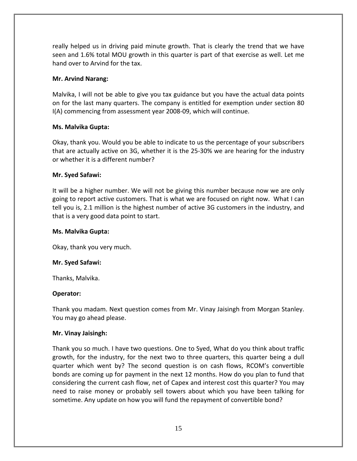really helped us in driving paid minute growth. That is clearly the trend that we have seen and 1.6% total MOU growth in this quarter is part of that exercise as well. Let me hand over to Arvind for the tax.

## **Mr. Arvind Narang:**

Malvika, I will not be able to give you tax guidance but you have the actual data points on for the last many quarters. The company is entitled for exemption under section 80 I(A) commencing from assessment year 2008‐09, which will continue.

## **Ms. Malvika Gupta:**

Okay, thank you. Would you be able to indicate to us the percentage of your subscribers that are actually active on 3G, whether it is the 25‐30% we are hearing for the industry or whether it is a different number?

## **Mr. Syed Safawi:**

It will be a higher number. We will not be giving this number because now we are only going to report active customers. That is what we are focused on right now. What I can tell you is, 2.1 million is the highest number of active 3G customers in the industry, and that is a very good data point to start.

## **Ms. Malvika Gupta:**

Okay, thank you very much.

## **Mr. Syed Safawi:**

Thanks, Malvika.

## **Operator:**

Thank you madam. Next question comes from Mr. Vinay Jaisingh from Morgan Stanley. You may go ahead please.

## **Mr. Vinay Jaisingh:**

Thank you so much. I have two questions. One to Syed, What do you think about traffic growth, for the industry, for the next two to three quarters, this quarter being a dull quarter which went by? The second question is on cash flows, RCOM's convertible bonds are coming up for payment in the next 12 months. How do you plan to fund that considering the current cash flow, net of Capex and interest cost this quarter? You may need to raise money or probably sell towers about which you have been talking for sometime. Any update on how you will fund the repayment of convertible bond?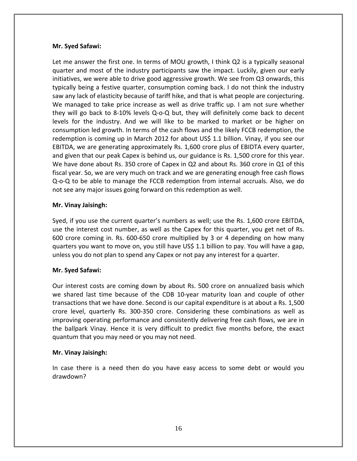Let me answer the first one. In terms of MOU growth, I think Q2 is a typically seasonal quarter and most of the industry participants saw the impact. Luckily, given our early initiatives, we were able to drive good aggressive growth. We see from Q3 onwards, this typically being a festive quarter, consumption coming back. I do not think the industry saw any lack of elasticity because of tariff hike, and that is what people are conjecturing. We managed to take price increase as well as drive traffic up. I am not sure whether they will go back to 8‐10% levels Q‐o‐Q but, they will definitely come back to decent levels for the industry. And we will like to be marked to market or be higher on consumption led growth. In terms of the cash flows and the likely FCCB redemption, the redemption is coming up in March 2012 for about US\$ 1.1 billion. Vinay, if you see our EBITDA, we are generating approximately Rs. 1,600 crore plus of EBIDTA every quarter, and given that our peak Capex is behind us, our guidance is Rs. 1,500 crore for this year. We have done about Rs. 350 crore of Capex in Q2 and about Rs. 360 crore in Q1 of this fiscal year. So, we are very much on track and we are generating enough free cash flows Q‐o‐Q to be able to manage the FCCB redemption from internal accruals. Also, we do not see any major issues going forward on this redemption as well.

## **Mr. Vinay Jaisingh:**

Syed, if you use the current quarter's numbers as well; use the Rs. 1,600 crore EBITDA, use the interest cost number, as well as the Capex for this quarter, you get net of Rs. 600 crore coming in. Rs. 600‐650 crore multiplied by 3 or 4 depending on how many quarters you want to move on, you still have US\$ 1.1 billion to pay. You will have a gap, unless you do not plan to spend any Capex or not pay any interest for a quarter.

# **Mr. Syed Safawi:**

Our interest costs are coming down by about Rs. 500 crore on annualized basis which we shared last time because of the CDB 10‐year maturity loan and couple of other transactions that we have done. Second is our capital expenditure is at about a Rs. 1,500 crore level, quarterly Rs. 300‐350 crore. Considering these combinations as well as improving operating performance and consistently delivering free cash flows, we are in the ballpark Vinay. Hence it is very difficult to predict five months before, the exact quantum that you may need or you may not need.

## **Mr. Vinay Jaisingh:**

In case there is a need then do you have easy access to some debt or would you drawdown?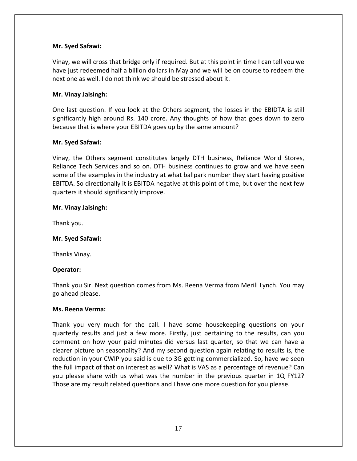Vinay, we will cross that bridge only if required. But at this point in time I can tell you we have just redeemed half a billion dollars in May and we will be on course to redeem the next one as well. I do not think we should be stressed about it.

## **Mr. Vinay Jaisingh:**

One last question. If you look at the Others segment, the losses in the EBIDTA is still significantly high around Rs. 140 crore. Any thoughts of how that goes down to zero because that is where your EBITDA goes up by the same amount?

## **Mr. Syed Safawi:**

Vinay, the Others segment constitutes largely DTH business, Reliance World Stores, Reliance Tech Services and so on. DTH business continues to grow and we have seen some of the examples in the industry at what ballpark number they start having positive EBITDA. So directionally it is EBITDA negative at this point of time, but over the next few quarters it should significantly improve.

## **Mr. Vinay Jaisingh:**

Thank you.

## **Mr. Syed Safawi:**

Thanks Vinay.

## **Operator:**

Thank you Sir. Next question comes from Ms. Reena Verma from Merill Lynch. You may go ahead please.

## **Ms. Reena Verma:**

Thank you very much for the call. I have some housekeeping questions on your quarterly results and just a few more. Firstly, just pertaining to the results, can you comment on how your paid minutes did versus last quarter, so that we can have a clearer picture on seasonality? And my second question again relating to results is, the reduction in your CWIP you said is due to 3G getting commercialized. So, have we seen the full impact of that on interest as well? What is VAS as a percentage of revenue? Can you please share with us what was the number in the previous quarter in 1Q FY12? Those are my result related questions and I have one more question for you please.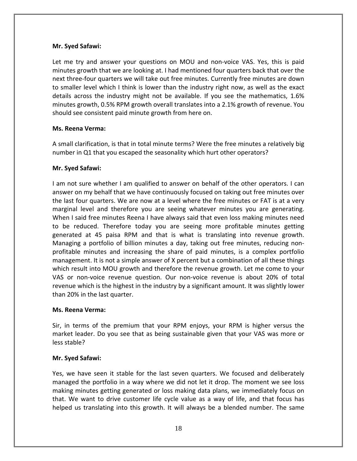Let me try and answer your questions on MOU and non-voice VAS. Yes, this is paid minutes growth that we are looking at. I had mentioned four quarters back that over the next three‐four quarters we will take out free minutes. Currently free minutes are down to smaller level which I think is lower than the industry right now, as well as the exact details across the industry might not be available. If you see the mathematics, 1.6% minutes growth, 0.5% RPM growth overall translates into a 2.1% growth of revenue. You should see consistent paid minute growth from here on.

## **Ms. Reena Verma:**

A small clarification, is that in total minute terms? Were the free minutes a relatively big number in Q1 that you escaped the seasonality which hurt other operators?

## **Mr. Syed Safawi:**

I am not sure whether I am qualified to answer on behalf of the other operators. I can answer on my behalf that we have continuously focused on taking out free minutes over the last four quarters. We are now at a level where the free minutes or FAT is at a very marginal level and therefore you are seeing whatever minutes you are generating. When I said free minutes Reena I have always said that even loss making minutes need to be reduced. Therefore today you are seeing more profitable minutes getting generated at 45 paisa RPM and that is what is translating into revenue growth. Managing a portfolio of billion minutes a day, taking out free minutes, reducing non‐ profitable minutes and increasing the share of paid minutes, is a complex portfolio management. It is not a simple answer of X percent but a combination of all these things which result into MOU growth and therefore the revenue growth. Let me come to your VAS or non‐voice revenue question. Our non‐voice revenue is about 20% of total revenue which is the highest in the industry by a significant amount. It was slightly lower than 20% in the last quarter.

## **Ms. Reena Verma:**

Sir, in terms of the premium that your RPM enjoys, your RPM is higher versus the market leader. Do you see that as being sustainable given that your VAS was more or less stable?

# **Mr. Syed Safawi:**

Yes, we have seen it stable for the last seven quarters. We focused and deliberately managed the portfolio in a way where we did not let it drop. The moment we see loss making minutes getting generated or loss making data plans, we immediately focus on that. We want to drive customer life cycle value as a way of life, and that focus has helped us translating into this growth. It will always be a blended number. The same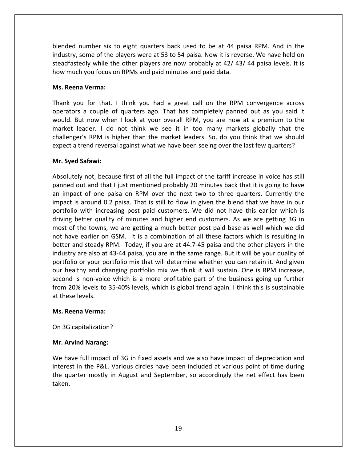blended number six to eight quarters back used to be at 44 paisa RPM. And in the industry, some of the players were at 53 to 54 paisa. Now it is reverse. We have held on steadfastedly while the other players are now probably at 42/ 43/ 44 paisa levels. It is how much you focus on RPMs and paid minutes and paid data.

## **Ms. Reena Verma:**

Thank you for that. I think you had a great call on the RPM convergence across operators a couple of quarters ago. That has completely panned out as you said it would. But now when I look at your overall RPM, you are now at a premium to the market leader. I do not think we see it in too many markets globally that the challenger's RPM is higher than the market leaders. So, do you think that we should expect a trend reversal against what we have been seeing over the last few quarters?

# **Mr. Syed Safawi:**

Absolutely not, because first of all the full impact of the tariff increase in voice has still panned out and that I just mentioned probably 20 minutes back that it is going to have an impact of one paisa on RPM over the next two to three quarters. Currently the impact is around 0.2 paisa. That is still to flow in given the blend that we have in our portfolio with increasing post paid customers. We did not have this earlier which is driving better quality of minutes and higher end customers. As we are getting 3G in most of the towns, we are getting a much better post paid base as well which we did not have earlier on GSM. It is a combination of all these factors which is resulting in better and steady RPM. Today, if you are at 44.7‐45 paisa and the other players in the industry are also at 43‐44 paisa, you are in the same range. But it will be your quality of portfolio or your portfolio mix that will determine whether you can retain it. And given our healthy and changing portfolio mix we think it will sustain. One is RPM increase, second is non‐voice which is a more profitable part of the business going up further from 20% levels to 35‐40% levels, which is global trend again. I think this is sustainable at these levels.

## **Ms. Reena Verma:**

On 3G capitalization?

# **Mr. Arvind Narang:**

We have full impact of 3G in fixed assets and we also have impact of depreciation and interest in the P&L. Various circles have been included at various point of time during the quarter mostly in August and September, so accordingly the net effect has been taken.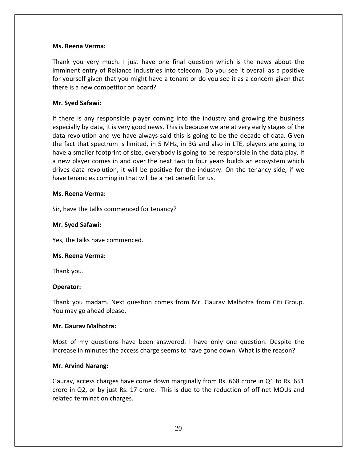#### **Ms. Reena Verma:**

Thank you very much. I just have one final question which is the news about the imminent entry of Reliance Industries into telecom. Do you see it overall as a positive for yourself given that you might have a tenant or do you see it as a concern given that there is a new competitor on board?

#### **Mr. Syed Safawi:**

If there is any responsible player coming into the industry and growing the business especially by data, it is very good news. This is because we are at very early stages of the data revolution and we have always said this is going to be the decade of data. Given the fact that spectrum is limited, in 5 MHz, in 3G and also in LTE, players are going to have a smaller footprint of size, everybody is going to be responsible in the data play. If a new player comes in and over the next two to four years builds an ecosystem which drives data revolution, it will be positive for the industry. On the tenancy side, if we have tenancies coming in that will be a net benefit for us.

#### **Ms. Reena Verma:**

Sir, have the talks commenced for tenancy?

#### **Mr. Syed Safawi:**

Yes, the talks have commenced.

#### **Ms. Reena Verma:**

Thank you.

## **Operator:**

Thank you madam. Next question comes from Mr. Gaurav Malhotra from Citi Group. You may go ahead please.

#### **Mr. Gaurav Malhotra:**

Most of my questions have been answered. I have only one question. Despite the increase in minutes the access charge seems to have gone down. What is the reason?

#### **Mr. Arvind Narang:**

Gaurav, access charges have come down marginally from Rs. 668 crore in Q1 to Rs. 651 crore in Q2, or by just Rs. 17 crore. This is due to the reduction of off‐net MOUs and related termination charges.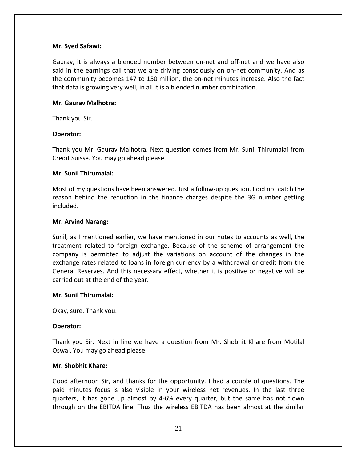Gaurav, it is always a blended number between on‐net and off‐net and we have also said in the earnings call that we are driving consciously on on-net community. And as the community becomes 147 to 150 million, the on‐net minutes increase. Also the fact that data is growing very well, in all it is a blended number combination.

#### **Mr. Gaurav Malhotra:**

Thank you Sir.

## **Operator:**

Thank you Mr. Gaurav Malhotra. Next question comes from Mr. Sunil Thirumalai from Credit Suisse. You may go ahead please.

#### **Mr. Sunil Thirumalai:**

Most of my questions have been answered. Just a follow‐up question, I did not catch the reason behind the reduction in the finance charges despite the 3G number getting included.

#### **Mr. Arvind Narang:**

Sunil, as I mentioned earlier, we have mentioned in our notes to accounts as well, the treatment related to foreign exchange. Because of the scheme of arrangement the company is permitted to adjust the variations on account of the changes in the exchange rates related to loans in foreign currency by a withdrawal or credit from the General Reserves. And this necessary effect, whether it is positive or negative will be carried out at the end of the year.

#### **Mr. Sunil Thirumalai:**

Okay, sure. Thank you.

## **Operator:**

Thank you Sir. Next in line we have a question from Mr. Shobhit Khare from Motilal Oswal. You may go ahead please.

#### **Mr. Shobhit Khare:**

Good afternoon Sir, and thanks for the opportunity. I had a couple of questions. The paid minutes focus is also visible in your wireless net revenues. In the last three quarters, it has gone up almost by 4‐6% every quarter, but the same has not flown through on the EBITDA line. Thus the wireless EBITDA has been almost at the similar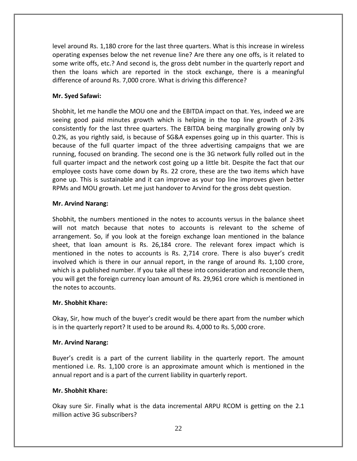level around Rs. 1,180 crore for the last three quarters. What is this increase in wireless operating expenses below the net revenue line? Are there any one offs, is it related to some write offs, etc.? And second is, the gross debt number in the quarterly report and then the loans which are reported in the stock exchange, there is a meaningful difference of around Rs. 7,000 crore. What is driving this difference?

# **Mr. Syed Safawi:**

Shobhit, let me handle the MOU one and the EBITDA impact on that. Yes, indeed we are seeing good paid minutes growth which is helping in the top line growth of 2‐3% consistently for the last three quarters. The EBITDA being marginally growing only by 0.2%, as you rightly said, is because of SG&A expenses going up in this quarter. This is because of the full quarter impact of the three advertising campaigns that we are running, focused on branding. The second one is the 3G network fully rolled out in the full quarter impact and the network cost going up a little bit. Despite the fact that our employee costs have come down by Rs. 22 crore, these are the two items which have gone up. This is sustainable and it can improve as your top line improves given better RPMs and MOU growth. Let me just handover to Arvind for the gross debt question.

# **Mr. Arvind Narang:**

Shobhit, the numbers mentioned in the notes to accounts versus in the balance sheet will not match because that notes to accounts is relevant to the scheme of arrangement. So, if you look at the foreign exchange loan mentioned in the balance sheet, that loan amount is Rs. 26,184 crore. The relevant forex impact which is mentioned in the notes to accounts is Rs. 2,714 crore. There is also buyer's credit involved which is there in our annual report, in the range of around Rs. 1,100 crore, which is a published number. If you take all these into consideration and reconcile them, you will get the foreign currency loan amount of Rs. 29,961 crore which is mentioned in the notes to accounts.

## **Mr. Shobhit Khare:**

Okay, Sir, how much of the buyer's credit would be there apart from the number which is in the quarterly report? It used to be around Rs. 4,000 to Rs. 5,000 crore.

## **Mr. Arvind Narang:**

Buyer's credit is a part of the current liability in the quarterly report. The amount mentioned i.e. Rs. 1,100 crore is an approximate amount which is mentioned in the annual report and is a part of the current liability in quarterly report.

# **Mr. Shobhit Khare:**

Okay sure Sir. Finally what is the data incremental ARPU RCOM is getting on the 2.1 million active 3G subscribers?